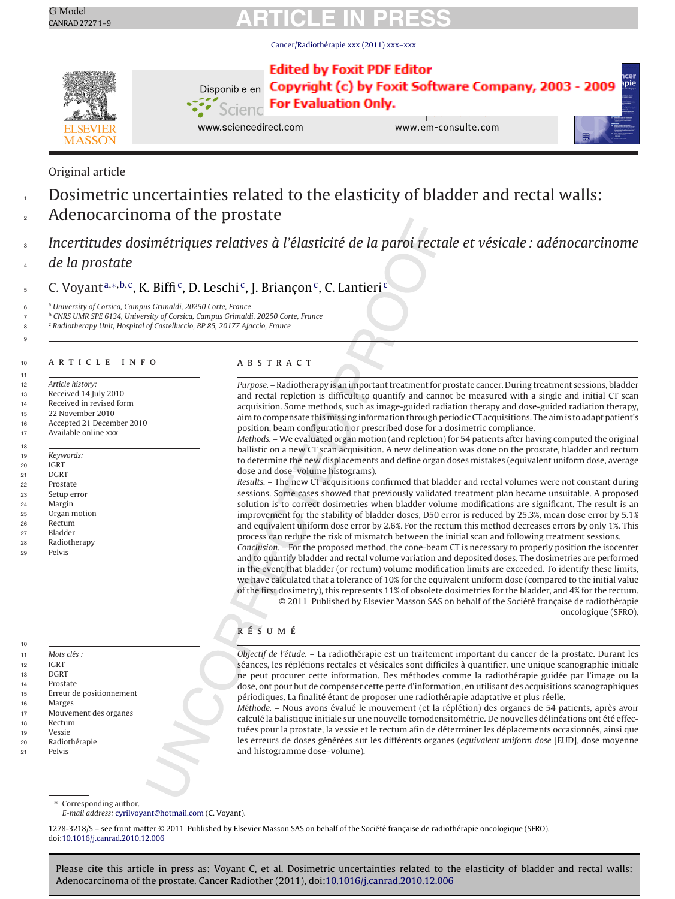

[Cancer/Radiothérapie xxx \(2011\) xxx–xxx](dx.doi.org/10.1016/j.canrad.2010.12.006)



**Edited by Foxit PDF Editor** Disponible en Copyright (c) by Foxit Software Company, 2003 - 2009 For Evaluation Only. cieno www.sciencedirect.com www.em-consulte.com

Original article

- Dosimetric uncertainties related to the elasticity of bladder and rectal walls: 1
- Adenocarcinoma of the prostate 2
- Incertitudes dosimétriques relatives à l'élasticité de la paroi rectale et vésicale : adénocarcinome 3
- de la prostate 4

9

11

14 15

18

 $20$ 

### C. Voyant<sup>a,\*,b,c</sup>, K. Biffi<sup>c</sup>, D. Leschi<sup>c</sup>, J. Briançon<sup>c</sup>, C. Lantieri<sup>c</sup>

<sup>a</sup> University of Corsica, Campus Grimaldi, 20250 Corte, France

<sup>b</sup> CNRS UMR SPE 6134, University of Corsica, Campus Grimaldi, 20250 Corte, France

<sup>c</sup> Radiotherapy Unit, Hospital of Castelluccio, BP 85, 20177 Ajaccio, France

### 10 ARTICLE INFO

| 12 | Article history:          |  |
|----|---------------------------|--|
| 13 | Received 14 July 2010     |  |
| 14 | Received in revised form  |  |
| 15 | 22 November 2010          |  |
| 16 | Accepted 21 December 2010 |  |
| 17 | Available online xxx      |  |
| 18 |                           |  |
| 19 | Keywords:                 |  |
| 20 | IGRT                      |  |
| 21 | <b>DGRT</b>               |  |
| 22 | Prostate                  |  |
| 23 | Setup error               |  |
| 24 | Margin                    |  |
| 25 | Organ motion              |  |
| 26 | Rectum                    |  |
| 27 | Bladder                   |  |
| 28 | Radiotherapy              |  |
| 29 | Pelvis                    |  |
|    |                           |  |

10 11 Mots clés :

- 12 IGRT 13 DGRT
- 14 Prostate
- 15 Erreur de positionnement
- 16 Marges 17 Mouvement des organes
- 18 Rectum
- 19 Vessie
- 20 Radiothérapie
- 21 Pelvis

### A B S T R A C T

Purpose. – Radiotherapy is an important treatment for prostate cancer. During treatment sessions, bladder and rectal repletion is difficult to quantify and cannot be measured with a single and initial CT scan acquisition. Some methods, such as image-guided radiation therapy and dose-guided radiation therapy, aim to compensate this missing information through periodic CT acquisitions. The aim is to adapt patient's position, beam configuration or prescribed dose for a dosimetric compliance.

Methods. – We evaluated organ motion (and repletion) for 54 patients after having computed the original ballistic on a new CT scan acquisition. A new delineation was done on the prostate, bladder and rectum to determine the new displacements and define organ doses mistakes (equivalent uniform dose, average dose and dose–volume histograms).

Results. – The new CT acquisitions confirmed that bladder and rectal volumes were not constant during sessions. Some cases showed that previously validated treatment plan became unsuitable. A proposed solution is to correct dosimetries when bladder volume modifications are significant. The result is an improvement for the stability of bladder doses, D50 error is reduced by 25.3%, mean dose error by 5.1% and equivalent uniform dose error by 2.6%. For the rectum this method decreases errors by only 1%. This process can reduce the risk of mismatch between the initial scan and following treatment sessions.

Conclusion. – For the proposed method, the cone-beam CT is necessary to properly position the isocenter and to quantify bladder and rectal volume variation and deposited doses. The dosimetries are performed in the event that bladder (or rectum) volume modification limits are exceeded. To identify these limits, we have calculated that a tolerance of 10% for the equivalent uniform dose (compared to the initial value of the first dosimetry), this represents 11% of obsolete dosimetries for the bladder, and 4% for the rectum. © 2011 Published by Elsevier Masson SAS on behalf of the Société française de radiothérapie oncologique (SFRO).

### résumé

Objectif de l'étude. – La radiothérapie est un traitement important du cancer de la prostate. Durant les séances, les réplétions rectales et vésicales sont difficiles à quantifier, une unique scanographie initiale ne peut procurer cette information. Des méthodes comme la radiothérapie guidée par l'image ou la dose, ont pour but de compenser cette perte d'information, en utilisant des acquisitions scanographiques périodiques. La finalité étant de proposer une radiothérapie adaptative et plus réelle.

Méthode. – Nous avons évalué le mouvement (et la réplétion) des organes de 54 patients, après avoir calculé la balistique initiale sur une nouvelle tomodensitométrie. De nouvelles délinéations ont été effectuées pour la prostate, la vessie et le rectum afin de déterminer les déplacements occasionnés, ainsi que les erreurs de doses générées sur les différents organes (equivalent uniform dose [EUD], dose moyenne and histogramme dose–volume).

Corresponding author.

E-mail address: [cyrilvoyant@hotmail.com](mailto:cyrilvoyant@hotmail.com) (C. Voyant).

1278-3218/\$ – see front matter © 2011 Published by Elsevier Masson SAS on behalf of the Société française de radiothérapie oncologique (SFRO). doi:[10.1016/j.canrad.2010.12.006](dx.doi.org/10.1016/j.canrad.2010.12.006)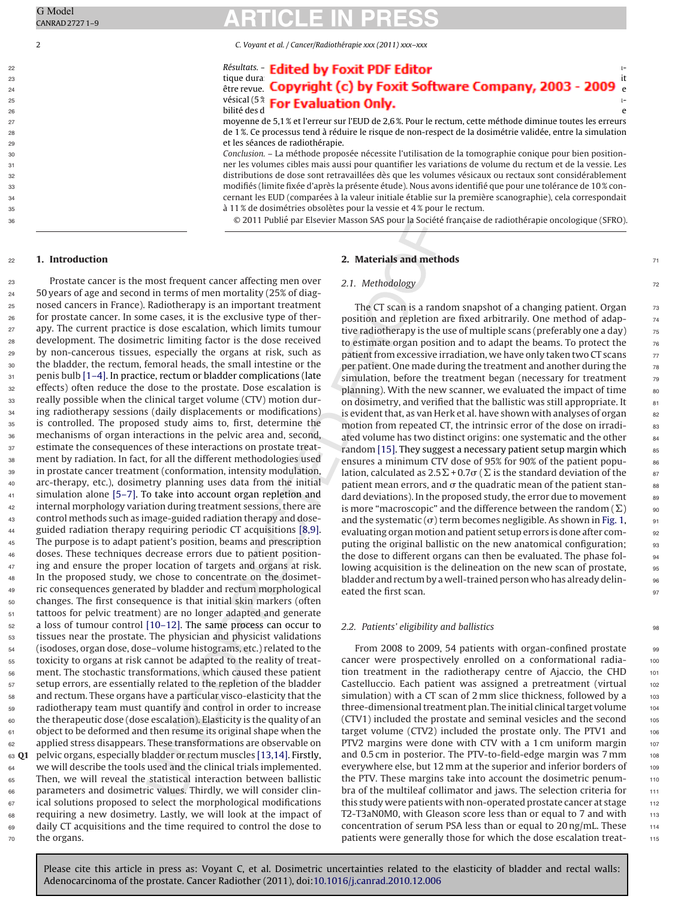2 C. Voyant et al. / Cancer/Radiothérapie xxx (2011) xxx–xxx



Conclusion. – La méthode proposée nécessite l'utilisation de la tomographie conique pour bien positionner les volumes cibles mais aussi pour quantifier les variations de volume du rectum et de la vessie. Les distributions de dose sont retravaillées dès que les volumes vésicaux ou rectaux sont considérablement modifiés (limite fixée d'après la présente étude). Nous avons identifié que pour une tolérance de 10 % concernant les EUD (comparées à la valeur initiale établie sur la première scanographie), cela correspondait à 11 % de dosimétries obsolètes pour la vessie et 4 % pour le rectum.

<sup>36</sup> © 2011 Publie par Elsevier Masson SAS pour la Société française de radiothérapie oncologique (SFRO). ´

### 22 23 24 25 26 27 28 29 30 31 32 33 34 35

### <sup>22</sup> **1. Introduction**

 Prostate cancer is the most frequent cancer affecting men over 50 years of age and second in terms of men mortality (25% of diag- nosed cancers in France). Radiotherapy is an important treatment for prostate cancer. In some cases, it is the exclusive type of ther- apy. The current practice is dose escalation, which limits tumour development. The dosimetric limiting factor is the dose received by non-cancerous tissues, especially the organs at risk, such as the bladder, the rectum, femoral heads, the small intestine or the penis bulb [\[1–4\]. I](#page-8-0)n practice, rectum or bladder complications (late effects) often reduce the dose to the prostate. Dose escalation is really possible when the clinical target volume (CTV) motion dur- ing radiotherapy sessions (daily displacements or modifications) is controlled. The proposed study aims to, first, determine the mechanisms of organ interactions in the pelvic area and, second, 37 estimate the consequences of these interactions on prostate treat- ment by radiation. In fact, for all the different methodologies used in prostate cancer treatment (conformation, intensity modulation, arc-therapy, etc.), dosimetry planning uses data from the initial simulation alone [\[5–7\]. T](#page-8-0)o take into account organ repletion and internal morphology variation during treatment sessions, there are control methods such as image-guided radiation therapy and dose-44 guided radiation therapy requiring periodic CT acquisitions [\[8,9\].](#page-8-0) The purpose is to adapt patient's position, beams and prescription doses. These techniques decrease errors due to patient position-47 ing and ensure the proper location of targets and organs at risk. In the proposed study, we chose to concentrate on the dosimet- ric consequences generated by bladder and rectum morphological changes. The first consequence is that initial skin markers (often tattoos for pelvic treatment) are no longer adapted and generate a loss of tumour control [\[10–12\]. T](#page-8-0)he same process can occur to tissues near the prostate. The physician and physicist validations (isodoses, organ dose, dose–volume histograms, etc.) related to the toxicity to organs at risk cannot be adapted to the reality of treat- ment. The stochastic transformations, which caused these patient setup errors, are essentially related to the repletion of the bladder and rectum. These organs have a particular visco-elasticity that the radiotherapy team must quantify and control in order to increase the therapeutic dose (dose escalation). Elasticity is the quality of an object to be deformed and then resume its original shape when the applied stress disappears. These transformations are observable on **[Q1](#page--1-0)** pelvic organs, especially bladder or rectum muscles [\[13,14\]. F](#page-8-0)irstly, we will describe the tools used and the clinical trials implemented. Then, we will reveal the statistical interaction between ballistic parameters and dosimetric values. Thirdly, we will consider clin-<sup>67</sup> ical solutions proposed to select the morphological modifications requiring a new dosimetry. Lastly, we will look at the impact of daily CT acquisitions and the time required to control the dose to the organs.

### **2. Materials and methods** 71

### 2.1. Methodology  $\frac{72}{2}$

The CT scan is a random snapshot of a changing patient. Organ  $<sub>73</sub>$ </sub> position and repletion are fixed arbitrarily. One method of adap-<br>  $74$ tive radiotherapy is the use of multiple scans (preferably one a day)  $\frac{75}{5}$ to estimate organ position and to adapt the beams. To protect the  $\frac{76}{6}$ patient from excessive irradiation, we have only taken two CT scans  $\frac{77}{27}$ per patient. One made during the treatment and another during the  $\frac{1}{78}$ simulation, before the treatment began (necessary for treatment  $\frac{79}{2}$ planning). With the new scanner, we evaluated the impact of time so on dosimetry, and verified that the ballistic was still appropriate. It  $\qquad \qquad$ <sup>81</sup> is evident that, as van Herk et al, have shown with analyses of organ same as motion from repeated CT, the intrinsic error of the dose on irradi-<br>83 ated volume has two distinct origins: one systematic and the other  $\frac{84}{100}$ random [\[15\]. T](#page-8-0)hey suggest a necessary patient setup margin which  $\frac{1}{85}$ ensures a minimum CTV dose of 95% for 90% of the patient popu-<br>86 lation, calculated as  $2.5\Sigma + 0.7\sigma$  ( $\Sigma$  is the standard deviation of the s<sub>7</sub> patient mean errors, and  $\sigma$  the quadratic mean of the patient stan- $\qquad$  se dard deviations). In the proposed study, the error due to movement as is more "macroscopic" and the difference between the random  $(\Sigma)$ and the systematic ( $\sigma$ ) term becomes negligible. As shown in [Fig. 1,](#page-2-0)  $\qquad \quad \circ$ evaluating organ motion and patient setup errors is done after com-<br>92 puting the original ballistic on the new anatomical configuration;  $\frac{93}{2}$ the dose to different organs can then be evaluated. The phase fol- $_{94}$ lowing acquisition is the delineation on the new scan of prostate,  $\frac{1}{100}$ bladder and rectum by a well-trained person who has already delin-<br>96 eated the first scan.

### 2.2. Patients' eligibility and ballistics of the state of the set of the set of the set of the set of the set o

From 2008 to 2009, 54 patients with organ-confined prostate 99 cancer were prospectively enrolled on a conformational radia- <sup>100</sup> tion treatment in the radiotherapy centre of Ajaccio, the CHD 101 Castelluccio. Each patient was assigned a pretreatment (virtual 102 simulation) with a CT scan of  $2 \text{ mm}$  slice thickness, followed by a  $103$ three-dimensional treatment plan. The initial clinical target volume 104  $(CTV1)$  included the prostate and seminal vesicles and the second  $105$ target volume (CTV2) included the prostate only. The PTV1 and  $106$ PTV2 margins were done with CTV with a 1 cm uniform margin  $107$ and 0.5 cm in posterior. The PTV-to-field-edge margin was  $7 \text{ mm}$  108 everywhere else, but 12 mm at the superior and inferior borders of  $109$ the PTV. These margins take into account the dosimetric penum-<br>110 bra of the multileaf collimator and jaws. The selection criteria for  $111$ this study were patients with non-operated prostate cancer at stage 112 T2-T3aN0M0, with Gleason score less than or equal to  $7$  and with  $113$ concentration of serum PSA less than or equal to  $20 \frac{\text{ng}}{\text{mL}}$ . These  $114$ patients were generally those for which the dose escalation treat- <sup>115</sup>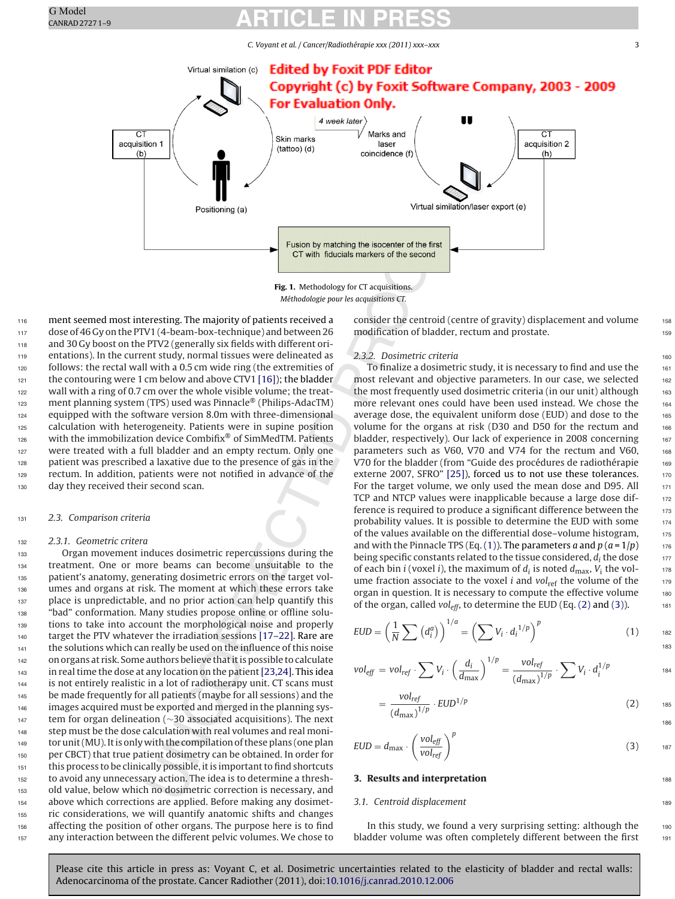C. Voyant et al. / Cancer/Radiothérapie xxx (2011) xxx–xxx 33

<span id="page-2-0"></span>

Méthodologie pour les acquisitions CT.

116 ment seemed most interesting. The majority of patients received a <sup>117</sup> dose of 46 Gy on the PTV1 (4-beam-box-technique) and between 26 <sup>118</sup> and 30 Gy boost on the PTV2 (generally six fields with different ori-<sup>119</sup> entations). In the current study, normal tissues were delineated as 120 follows: the rectal wall with a 0.5 cm wide ring (the extremities of  $121$  the contouring were 1 cm below and above CTV1 [\[16\]\);](#page-8-0) the bladder <sup>122</sup> wall with a ring of 0.7 cm over the whole visible volume; the treat- $_{123}$  ment planning system (TPS) used was Pinnacle<sup>®</sup> (Philips-AdacTM) 124 equipped with the software version 8.0m with three-dimensional <sup>125</sup> calculation with heterogeneity. Patients were in supine position 126 with the immobilization device Combifix<sup>®</sup> of SimMedTM. Patients 127 were treated with a full bladder and an empty rectum. Only one <sup>128</sup> patient was prescribed a laxative due to the presence of gas in the <sup>129</sup> rectum. In addition, patients were not notified in advance of the 130 day they received their second scan.

### <sup>131</sup> 2.3. Comparison criteria

### <sup>132</sup> 2.3.1. Geometric critera

 Organ movement induces dosimetric repercussions during the treatment. One or more beams can become unsuitable to the patient's anatomy, generating dosimetric errors on the target vol- umes and organs at risk. The moment at which these errors take place is unpredictable, and no prior action can help quantify this "bad" conformation. Many studies propose online or offline solu- tions to take into account the morphological noise and properly target the PTV whatever the irradiation sessions [\[17–22\]. R](#page-8-0)are are 141 the solutions which can really be used on the influence of this noise on organs at risk. Some authors believe that it is possible to calculate 143 in real time the dose at any location on the patient [\[23,24\]. T](#page-8-0)his idea is not entirely realistic in a lot of radiotherapy unit. CT scans must 145 be made frequently for all patients (maybe for all sessions) and the 146 images acquired must be exported and merged in the planning sys- tem for organ delineation (∼30 associated acquisitions). The next 148 step must be the dose calculation with real volumes and real moni- tor unit (MU). It is only with the compilation of these plans (one plan per CBCT) that true patient dosimetry can be obtained. In order for this process to be clinically possible, it is important to find shortcuts to avoid any unnecessary action. The idea is to determine a thresh- old value, below which no dosimetric correction is necessary, and above which corrections are applied. Before making any dosimet- ric considerations, we will quantify anatomic shifts and changes affecting the position of other organs. The purpose here is to find any interaction between the different pelvic volumes. We chose to

consider the centroid (centre of gravity) displacement and volume 158 modification of bladder, rectum and prostate. The modification of bladder, rectum and prostate.

### 2.3.2. Dosimetric criteria 160

To finalize a dosimetric study, it is necessary to find and use the 161 most relevant and objective parameters. In our case, we selected  $162$ the most frequently used dosimetric criteria (in our unit) although  $163$ more relevant ones could have been used instead. We chose the 164 average dose, the equivalent uniform dose (EUD) and dose to the  $165$ volume for the organs at risk (D30 and D50 for the rectum and 166 bladder, respectively). Our lack of experience in 2008 concerning 167 parameters such as V60, V70 and V74 for the rectum and V60, 168 V70 for the bladder (from "Guide des procédures de radiothérapie 169 externe 2007, SFRO" [\[25\]\),](#page-8-0) forced us to not use these tolerances. 170 For the target volume, we only used the mean dose and D95. All 171 TCP and NTCP values were inapplicable because a large dose dif-<br>172 ference is required to produce a significant difference between the  $173$ probability values. It is possible to determine the EUD with some 174 of the values available on the differential dose–volume histogram, 175 and with the Pinnacle TPS (Eq. (1)). The parameters a and  $p(a=1/p)$  176 being specific constants related to the tissue considered,  $d_i$  the dose  $177$ of each bin *i* (voxel *i*), the maximum of  $d_i$  is noted  $d_{\text{max}}$ ,  $V_i$  the volume fraction associate to the voxel *i* and  $vol_{ref}$  the volume of the  $179$ organ in question. It is necessary to compute the effective volume 180 of the organ, called vol<sub>eff</sub>, to determine the EUD (Eq. (2) and (3)). 181

$$
EUD = \left(\frac{1}{N}\sum \left(d_i^a\right)\right)^{1/a} = \left(\sum V_i \cdot d_i^{1/p}\right)^p \tag{1}
$$

$$
vol_{eff} = vol_{ref} \cdot \sum V_i \cdot \left(\frac{d_i}{d_{\text{max}}}\right)^{1/p} = \frac{vol_{ref}}{(d_{\text{max}})^{1/p}} \cdot \sum V_i \cdot d_i^{1/p}
$$

$$
=\frac{vol_{ref}}{(d_{\text{max}})^{1/p}} \cdot EUD^{1/p} \tag{2}
$$

$$
EUD = d_{\text{max}} \cdot \left(\frac{\text{vol}_{\text{eff}}}{\text{vol}_{\text{ref}}}\right)^p \tag{3}
$$

### **3. Results and interpretation** 188

### 3.1. Centroid displacement 189

In this study, we found a very surprising setting: although the 190 bladder volume was often completely different between the first 191

182 183

186

187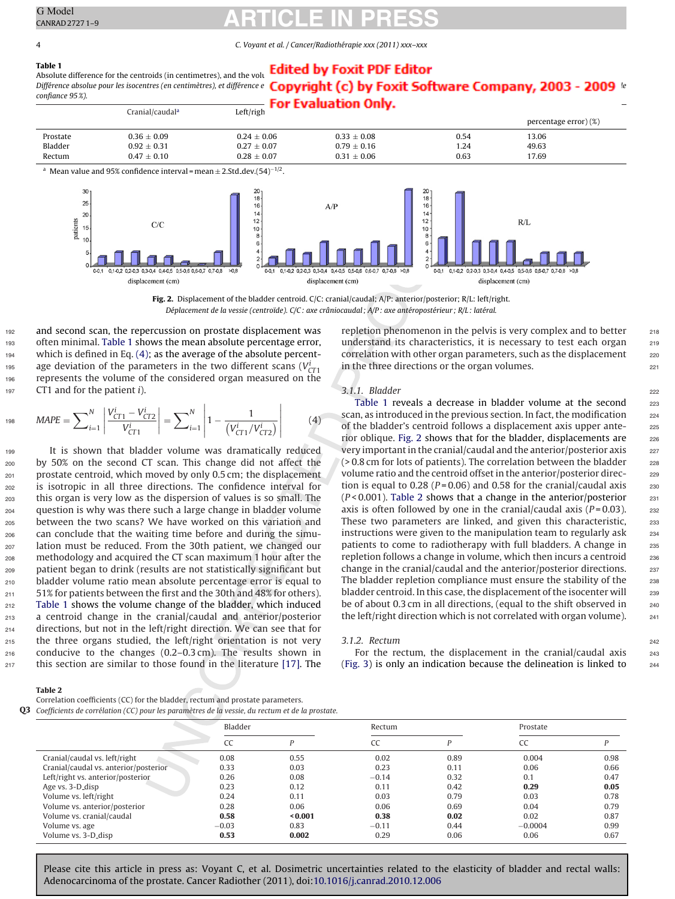$\Omega$ 

# <span id="page-3-0"></span>G Model GAN<mark>odel (ARTICLE IN PRESS</mark>

4 C. Voyant et al. / Cancer/Radiothérapie xxx (2011) xxx–xxx

### **Table 1**

Table 1 **Absolute difference for the centroids (in centimetres), and the volue Edited by Foxit PDF Editor** Différence absolue pour les isocentres (en centimètres), et différence e Copyright (c) by Foxit Software Company, 2003 - 2009 le confiance 95 %).





**Fig. 2.** Displacement of the bladder centroid. C/C: cranial/caudal; A/P: anterior/posterior; R/L: left/right. Déplacement de la vessie (centroïde). C/C : axe crâniocaudal ; A/P : axe antéropostérieur ; R/L : latéral.

192 and second scan, the repercussion on prostate displacement was often minimal. Table 1 shows the mean absolute percentage error, which is defined in Eq. (4); as the average of the absolute percentage deviation of the parameters in the two different scans ( $V_{CT1}^i$  represents the volume of the considered organ measured on the CT1 and for the patient *i*).

$$
MAPE = \sum_{i=1}^{N} \left| \frac{V_{CT1}^{i} - V_{CT2}^{i}}{V_{CT1}^{i}} \right| = \sum_{i=1}^{N} \left| 1 - \frac{1}{\left(V_{CT1}^{i}/V_{CT2}^{i}\right)} \right| \tag{4}
$$

 It is shown that bladder volume was dramatically reduced by 50% on the second CT scan. This change did not affect the prostate centroid, which moved by only 0.5 cm; the displacement is isotropic in all three directions. The confidence interval for this organ is very low as the dispersion of values is so small. The question is why was there such a large change in bladder volume between the two scans? We have worked on this variation and can conclude that the waiting time before and during the simu- lation must be reduced. From the 30th patient, we changed our methodology and acquired the CT scan maximum 1 hour after the patient began to drink (results are not statistically significant but bladder volume ratio mean absolute percentage error is equal to 211 51% for patients between the first and the 30th and 48% for others). Table 1 shows the volume change of the bladder, which induced a centroid change in the cranial/caudal and anterior/posterior directions, but not in the left/right direction. We can see that for the three organs studied, the left/right orientation is not very conducive to the changes (0.2–0.3 cm). The results shown in this section are similar to those found in the literature [\[17\]. T](#page-8-0)he repletion phenomenon in the pelvis is very complex and to better 218 understand its characteristics, it is necessary to test each organ 219 correlation with other organ parameters, such as the displacement 220 in the three directions or the organ volumes.

displacement (cm)

### **3.1.1. Bladder** 222

Table 1 reveals a decrease in bladder volume at the second 223 scan, as introduced in the previous section. In fact, the modification 224 of the bladder's centroid follows a displacement axis upper ante-<br>225 rior oblique. Fig. 2 shows that for the bladder, displacements are 226 very important in the cranial/caudal and the anterior/posterior axis  $227$ (> 0.8 cm for lots of patients). The correlation between the bladder 228 volume ratio and the centroid offset in the anterior/posterior direc-<br>229 tion is equal to 0.28 ( $P = 0.06$ ) and 0.58 for the cranial/caudal axis 230  $(P < 0.001)$ . Table 2 shows that a change in the anterior/posterior 231 axis is often followed by one in the cranial/caudal axis  $(P=0.03)$ . 232 These two parameters are linked, and given this characteristic, 233 instructions were given to the manipulation team to regularly ask  $234$ patients to come to radiotherapy with full bladders. A change in 235 repletion follows a change in volume, which then incurs a centroid <sub>236</sub> change in the cranial/caudal and the anterior/posterior directions. 237 The bladder repletion compliance must ensure the stability of the 238 bladder centroid. In this case, the displacement of the isocenter will 239 be of about 0.3 cm in all directions, (equal to the shift observed in  $240$ the left/right direction which is not correlated with organ volume).  $241$ 

#### **3.1.2.** Rectum 242

For the rectum, the displacement in the cranial/caudal axis  $_{243}$ [\(Fig. 3\)](#page-4-0) is only an indication because the delineation is linked to  $244$ 

**Table 2**

Correlation coefficients (CC) for the bladder, rectum and prostate parameters.

**[Q3](#page--1-1)** Coefficients de corrélation (CC) pour les paramètres de la vessie, du rectum et de la prostate.

|                                       | Bladder |         | Rectum  |      | Prostate  |      |
|---------------------------------------|---------|---------|---------|------|-----------|------|
|                                       | CC      | D       | CC      | D    | CC        |      |
| Cranial/caudal vs. left/right         | 0.08    | 0.55    | 0.02    | 0.89 | 0.004     | 0.98 |
| Cranial/caudal vs. anterior/posterior | 0.33    | 0.03    | 0.23    | 0.11 | 0.06      | 0.66 |
| Left/right vs. anterior/posterior     | 0.26    | 0.08    | $-0.14$ | 0.32 | 0.1       | 0.47 |
| Age vs. 3-D <sub>-disp</sub>          | 0.23    | 0.12    | 0.11    | 0.42 | 0.29      | 0.05 |
| Volume vs. left/right                 | 0.24    | 0.11    | 0.03    | 0.79 | 0.03      | 0.78 |
| Volume vs. anterior/posterior         | 0.28    | 0.06    | 0.06    | 0.69 | 0.04      | 0.79 |
| Volume vs. cranial/caudal             | 0.58    | < 0.001 | 0.38    | 0.02 | 0.02      | 0.87 |
| Volume vs. age                        | $-0.03$ | 0.83    | $-0.11$ | 0.44 | $-0.0004$ | 0.99 |
| Volume vs. 3-D_disp                   | 0.53    | 0.002   | 0.29    | 0.06 | 0.06      | 0.67 |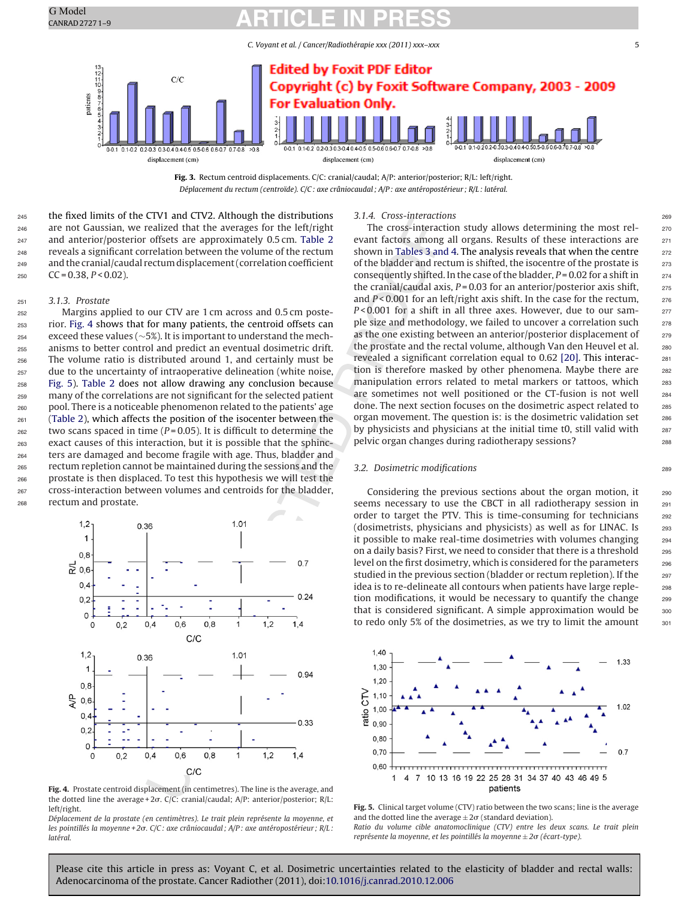C. Voyant et al. / Cancer/Radiothérapie xxx (2011) xxx–xxx 5

<span id="page-4-0"></span>

**Fig. 3.** Rectum centroid displacements. C/C: cranial/caudal; A/P: anterior/posterior; R/L: left/right. Déplacement du rectum (centroïde). C/C : axe crâniocaudal ; A/P : axe antéropostérieur ; R/L : latéral.

 the fixed limits of the CTV1 and CTV2. Although the distributions are not Gaussian, we realized that the averages for the left/right 247 and anterior/posterior offsets are approximately 0.5 cm. [Table 2](#page-3-0) reveals a significant correlation between the volume of the rectum and the cranial/caudal rectum displacement (correlation coefficient CC = 0.38, P < 0.02).

### <sup>251</sup> 3.1.3. Prostate

 Margins applied to our CTV are 1 cm across and 0.5 cm poste- rior. Fig. 4 shows that for many patients, the centroid offsets can exceed these values (∼5%). It is important to understand the mech- anisms to better control and predict an eventual dosimetric drift. The volume ratio is distributed around 1, and certainly must be due to the uncertainty of intraoperative delineation (white noise, Fig. 5). [Table 2](#page-3-0) does not allow drawing any conclusion because many of the correlations are not significant for the selected patient pool. There is a noticeable phenomenon related to the patients' age ([Table 2\),](#page-3-0) which affects the position of the isocenter between the two scans spaced in time ( $P = 0.05$ ). It is difficult to determine the exact causes of this interaction, but it is possible that the sphinc- ters are damaged and become fragile with age. Thus, bladder and rectum repletion cannot be maintained during the sessions and the prostate is then displaced. To test this hypothesis we will test the cross-interaction between volumes and centroids for the bladder, rectum and prostate.



**Fig. 4.** Prostate centroid displacement (in centimetres). The line is the average, and the dotted line the average +  $2\sigma$ . C/C: cranial/caudal; A/P: anterior/posterior; R/L: left/right.

Déplacement de la prostate (en centimètres). Le trait plein représente la moyenne, et les pointillés la moyenne + 2 $\sigma$ . C/C : axe crâniocaudal ; A/P : axe antéropostérieur ; R/L : latéral.

#### 3.1.4. Cross-interactions 269

The cross-interaction study allows determining the most rel-<br>270 evant factors among all organs. Results of these interactions are  $271$ shown in [Tables 3 and 4. T](#page-5-0)he analysis reveals that when the centre  $272$ of the bladder and rectum is shifted, the isocentre of the prostate is  $273$ consequently shifted. In the case of the bladder,  $P = 0.02$  for a shift in  $274$ the cranial/caudal axis,  $P = 0.03$  for an anterior/posterior axis shift,  $275$ and  $P < 0.001$  for an left/right axis shift. In the case for the rectum,  $276$ P < 0.001 for a shift in all three axes. However, due to our sam-<br>  $277$ ple size and methodology, we failed to uncover a correlation such 278 as the one existing between an anterior/posterior displacement of 279 the prostate and the rectal volume, although Van den Heuvel et al. 280 revealed a significant correlation equal to 0.62 [\[20\]. T](#page-8-0)his interac-<br>28<sup>1</sup> tion is therefore masked by other phenomena. Maybe there are 282 manipulation errors related to metal markers or tattoos, which 283 are sometimes not well positioned or the CT-fusion is not well 284 done. The next section focuses on the dosimetric aspect related to <sub>285</sub> organ movement. The question is: is the dosimetric validation set <sup>286</sup> by physicists and physicians at the initial time t0, still valid with  $287$ pelvic organ changes during radiotherapy sessions?

### 3.2. Dosimetric modifications 289

Considering the previous sections about the organ motion, it 290 seems necessary to use the CBCT in all radiotherapy session in 291 order to target the PTV. This is time-consuming for technicians 292 (dosimetrists, physicians and physicists) as well as for LINAC. Is 293 it possible to make real-time dosimetries with volumes changing  $294$ on a daily basis? First, we need to consider that there is a threshold <sup>295</sup> level on the first dosimetry, which is considered for the parameters 296 studied in the previous section (bladder or rectum repletion). If the 297 idea is to re-delineate all contours when patients have large reple-<br>298 tion modifications, it would be necessary to quantify the change 299 that is considered significant. A simple approximation would be 300 to redo only 5% of the dosimetries, as we try to limit the amount  $301$ 



**Fig. 5.** Clinical target volume (CTV) ratio between the two scans; line is the average and the dotted line the average  $\pm 2\sigma$  (standard deviation). Ratio du volume cible anatomoclinique (CTV) entre les deux scans. Le trait plein représente la moyenne, et les pointillés la moyenne  $\pm 2\sigma$  (écart-type).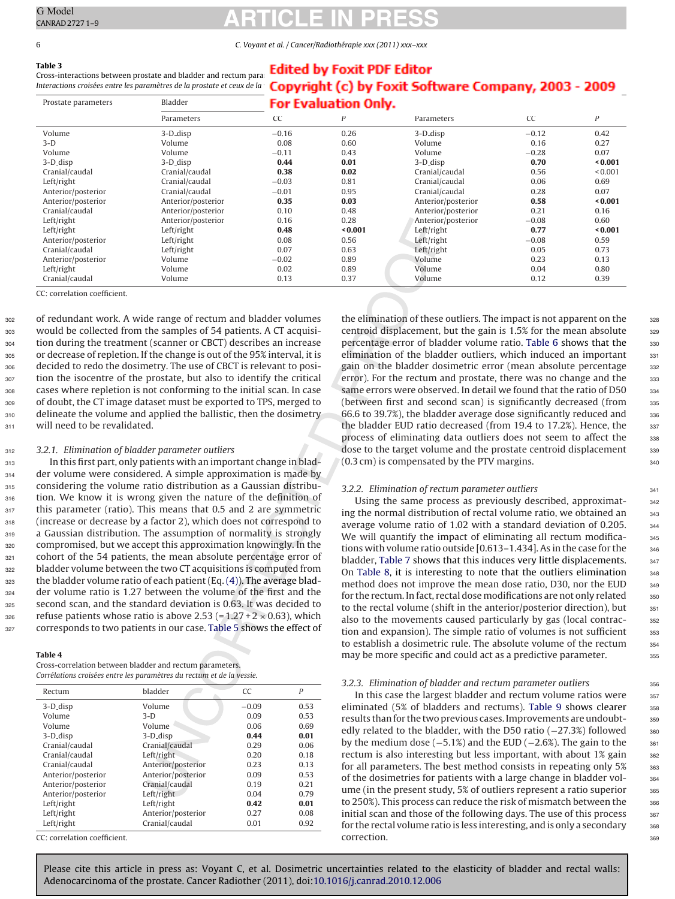6 C. Voyant et al. / Cancer/Radiothérapie xxx (2011) xxx–xxx

### **Table 3**

Interactions croisées entre les paramètres de la prostate et ceux de la

### Table 3<br>Cross-interactions between prostate and bladder and rectum parameters. **Edited by Foxit PDF Editor**<br>Interactions croisées entre les paramètres de la prostate et ceux de la mangleright (c) by Foxit Software Company, Prostate parameters Bladder Recture Recture Prostate Prostate Prostate Prostate Prostate Prostate Prostate Pro

| THUSTAIL PATAILLELLS | Diauuci                | <b>FOR EVAILIBLIOII UIIIV.</b> |         |                        |           |              |
|----------------------|------------------------|--------------------------------|---------|------------------------|-----------|--------------|
|                      | Parameters             | CC                             | Ρ       | Parameters             | <b>CC</b> | Ρ            |
| Volume               | $3-D$ <sub>cdisp</sub> | $-0.16$                        | 0.26    | $3-D$ <sub>-disp</sub> | $-0.12$   | 0.42         |
| $3-D$                | Volume                 | 0.08                           | 0.60    | Volume                 | 0.16      | 0.27         |
| Volume               | Volume                 | $-0.11$                        | 0.43    | Volume                 | $-0.28$   | 0.07         |
| 3-D <sub>disp</sub>  | $3-D$ <sub>disp</sub>  | 0.44                           | 0.01    | $3-D$ <sub>disp</sub>  | 0.70      | 0.001        |
| Cranial/caudal       | Cranial/caudal         | 0.38                           | 0.02    | Cranial/caudal         | 0.56      | ${}_{0.001}$ |
| Left/right           | Cranial/caudal         | $-0.03$                        | 0.81    | Cranial/caudal         | 0.06      | 0.69         |
| Anterior/posterior   | Cranial/caudal         | $-0.01$                        | 0.95    | Cranial/caudal         | 0.28      | 0.07         |
| Anterior/posterior   | Anterior/posterior     | 0.35                           | 0.03    | Anterior/posterior     | 0.58      | 0.001        |
| Cranial/caudal       | Anterior/posterior     | 0.10                           | 0.48    | Anterior/posterior     | 0.21      | 0.16         |
| Left/right           | Anterior/posterior     | 0.16                           | 0.28    | Anterior/posterior     | $-0.08$   | 0.60         |
| Left/right           | Left/right             | 0.48                           | < 0.001 | Left/right             | 0.77      | < 0.001      |
| Anterior/posterior   | Left/right             | 0.08                           | 0.56    | Left/right             | $-0.08$   | 0.59         |
| Cranial/caudal       | Left/right             | 0.07                           | 0.63    | Left/right             | 0.05      | 0.73         |
| Anterior/posterior   | Volume                 | $-0.02$                        | 0.89    | Volume                 | 0.23      | 0.13         |
| Left/right           | Volume                 | 0.02                           | 0.89    | Volume                 | 0.04      | 0.80         |
| Cranial/caudal       | Volume                 | 0.13                           | 0.37    | Volume                 | 0.12      | 0.39         |

CC: correlation coefficient.

 of redundant work. A wide range of rectum and bladder volumes would be collected from the samples of 54 patients. A CT acquisi- tion during the treatment (scanner or CBCT) describes an increase or decrease of repletion. If the change is out of the 95% interval, it is decided to redo the dosimetry. The use of CBCT is relevant to posi- tion the isocentre of the prostate, but also to identify the critical cases where repletion is not conforming to the initial scan. In case of doubt, the CT image dataset must be exported to TPS, merged to 310 delineate the volume and applied the ballistic, then the dosimetry 311 will need to be revalidated.

### <sup>312</sup> 3.2.1. Elimination of bladder parameter outliers

 In this first part, only patients with an important change in blad- der volume were considered. A simple approximation is made by considering the volume ratio distribution as a Gaussian distribu-316 tion. We know it is wrong given the nature of the definition of 317 this parameter (ratio). This means that 0.5 and 2 are symmetric (increase or decrease by a factor 2), which does not correspond to 319 a Gaussian distribution. The assumption of normality is strongly compromised, but we accept this approximation knowingly. In the cohort of the 54 patients, the mean absolute percentage error of bladder volume between the two CT acquisitions is computed from 323 the bladder volume ratio of each patient (Eq. [\(4\)\).](#page-3-0) The average blad- der volume ratio is 1.27 between the volume of the first and the second scan, and the standard deviation is 0.63. It was decided to 326 refuse patients whose ratio is above 2.53 (=  $1.27 + 2 \times 0.63$ ), which<br>327 corresponds to two patients in our case. Table 5 shows the effect of corresponds to two patients in our case. [Table 5](#page-6-0) shows the effect of

#### **Table 4**

Cross-correlation between bladder and rectum parameters. Corrélations croisées entre les paramètres du rectum et de la vessie.

| Rectum               | bladder            | CC      | P    |
|----------------------|--------------------|---------|------|
| 3-D <sub>-disp</sub> | Volume             | $-0.09$ | 0.53 |
| Volume               | $3-D$              | 0.09    | 0.53 |
| Volume               | Volume             | 0.06    | 0.69 |
| $3-D$ -disp          | $3-D$ -disp        | 0.44    | 0.01 |
| Cranial/caudal       | Cranial/caudal     | 0.29    | 0.06 |
| Cranial/caudal       | Left/right         | 0.20    | 0.18 |
| Cranial/caudal       | Anterior/posterior | 0.23    | 0.13 |
| Anterior/posterior   | Anterior/posterior | 0.09    | 0.53 |
| Anterior/posterior   | Cranial/caudal     | 0.19    | 0.21 |
| Anterior/posterior   | Left/right         | 0.04    | 0.79 |
| Left/right           | Left/right         | 0.42    | 0.01 |
| Left/right           | Anterior/posterior | 0.27    | 0.08 |
| Left/right           | Cranial/caudal     | 0.01    | 0.92 |

CC: correlation coefficient.

the elimination of these outliers. The impact is not apparent on the 328 centroid displacement, but the gain is  $1.5\%$  for the mean absolute  $329$ percentage error of bladder volume ratio. [Table 6](#page-6-0) shows that the 330 elimination of the bladder outliers, which induced an important 331 gain on the bladder dosimetric error (mean absolute percentage 332 error). For the rectum and prostate, there was no change and the 333 same errors were observed. In detail we found that the ratio of D50 334 (between first and second scan) is significantly decreased (from 335 66.6 to 39.7%), the bladder average dose significantly reduced and 336 the bladder EUD ratio decreased (from  $19.4$  to  $17.2\%$ ). Hence, the  $337$ process of eliminating data outliers does not seem to affect the 338 dose to the target volume and the prostate centroid displacement  $\frac{339}{2}$  $(0.3 \text{ cm})$  is compensated by the PTV margins.  $340$ 

### 3.2.2. Elimination of rectum parameter outliers 341

Using the same process as previously described, approximat-<br>342 ing the normal distribution of rectal volume ratio, we obtained an 343 average volume ratio of 1.02 with a standard deviation of 0.205.  $344$ We will quantify the impact of eliminating all rectum modifica-<br>345 tions with volume ratio outside  $[0.613 - 1.434]$ . As in the case for the  $346$ bladder, [Table 7](#page-6-0) shows that this induces very little displacements.  $347$ On [Table 8,](#page-6-0) it is interesting to note that the outliers elimination  $348$ method does not improve the mean dose ratio, D30, nor the EUD 349 for the rectum. In fact, rectal dose modifications are not only related  $350$ to the rectal volume (shift in the anterior/posterior direction), but  $351$ also to the movements caused particularly by gas (local contrac- 352 tion and expansion). The simple ratio of volumes is not sufficient 353 to establish a dosimetric rule. The absolute volume of the rectum 354 may be more specific and could act as a predictive parameter. 355

### 3.2.3. Elimination of bladder and rectum parameter outliers 356

In this case the largest bladder and rectum volume ratios were  $357$ eliminated (5% of bladders and rectums). [Table 9](#page-6-0) shows clearer 358 results than for the two previous cases. Improvements are undoubt-<br>359 edly related to the bladder, with the D50 ratio (-27.3%) followed 360 by the medium dose ( $-5.1\%$ ) and the EUD ( $-2.6\%$ ). The gain to the  $361$ rectum is also interesting but less important, with about  $1\%$  gain  $\frac{362}{2}$ for all parameters. The best method consists in repeating only 5% 363 of the dosimetries for patients with a large change in bladder vol-<br>364 ume (in the present study, 5% of outliers represent a ratio superior 365 to 250%). This process can reduce the risk of mismatch between the 366 initial scan and those of the following days. The use of this process  $367$ for the rectal volume ratio is less interesting, and is only a secondary s688 correction. 369

<span id="page-5-0"></span>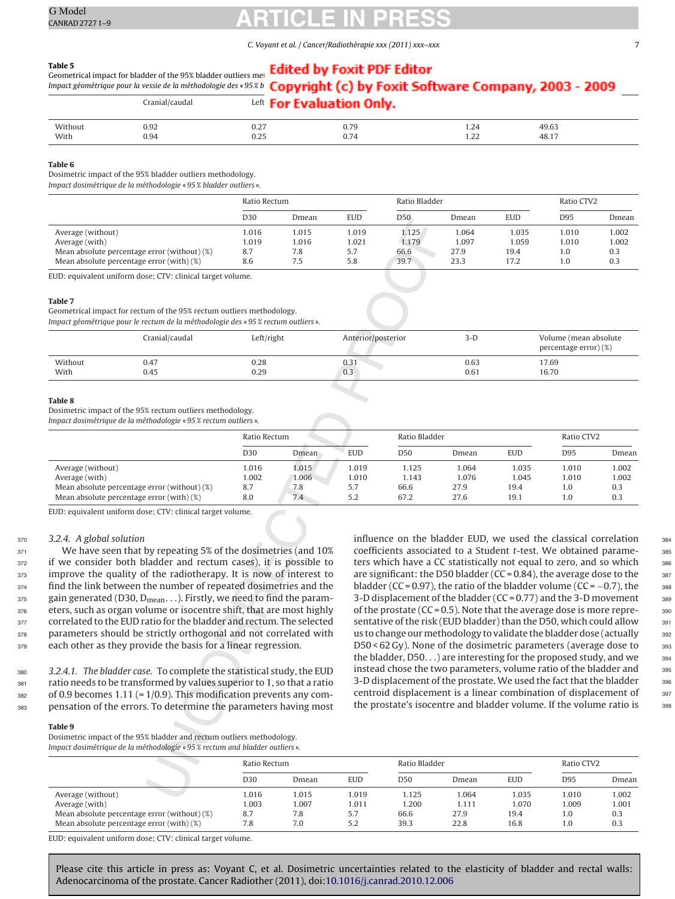C. Voyant et al. / Cancer/Radiothérapie xxx (2011) xxx–xxx 7

### **Table 5**

### <span id="page-6-0"></span>Table 5<br>Geometrical impact for bladder of the 95% bladder outliers met **Edited by Foxit PDF Editor** Impact géométrique pour la vessie de la méthodologie des « 95 % b Copyright (c) by Foxit Software Company, 2003 - 2009 Cranial/caudal Left For Evaluation Only.

|      | ״חי<br>0.52 | -<br>U.L    | $\overline{\phantom{a}}$<br>0.75   | $\ddotsc$<br>the contract of the contract of the | 49.<br>−ນ.∪ |  |
|------|-------------|-------------|------------------------------------|--------------------------------------------------|-------------|--|
| With | በ ባረ        | .<br>$\cup$ | $\overline{\phantom{a}}$<br>∪. / ⊐ | $\sim$<br>1.44                                   | 48.<br>тυ.  |  |

### **Table 6**

Dosimetric impact of the 95% bladder outliers methodology.

Impact dosimétrique de la méthodologie « 95 % bladder outliers ».

|                                              | Ratio Rectum |       | Ratio Bladder |       |       | Ratio CTV2 |       |       |
|----------------------------------------------|--------------|-------|---------------|-------|-------|------------|-------|-------|
|                                              | D30          | Dmean | <b>EUD</b>    | D50   | Dmean | <b>EUD</b> | D95   | Dmean |
| Average (without)                            | 1.016        | 1.015 | l.019         | 1.125 | 1.064 | 1.035      | 1.010 | 1.002 |
| Average (with)                               | 1.019        | 1.016 | 1.021         | 1.179 | 1.097 | 1.059      | 1.010 | 1.002 |
| Mean absolute percentage error (without) (%) | 8.7          | 7.8   | 5.7           | 66.6  | 27.9  | 19.4       | 1.0   | 0.3   |
| Mean absolute percentage error (with) (%)    | 8.6          | 7.5   | 5.8           | 39.7  | 23.3  | 17.2       | 1.0   | 0.3   |

EUD: equivalent uniform dose; CTV: clinical target volume.

#### **Table 7**

Geometrical impact for rectum of the 95% rectum outliers methodology. Impact géométrique pour le rectum de la méthodologie des « 95 % rectum outliers ».

|         | Cranial/caudal | Left/right | Anterior/posterior | 3-D  | Volume (mean absolute<br>percentage error) (%) |
|---------|----------------|------------|--------------------|------|------------------------------------------------|
| Without | 0.47           | 0.28       | 0.31               | 0.63 | 17.69                                          |
| With    | 0.45           | 0.29       | 0.3                | 0.61 | 16.70                                          |
|         |                |            |                    |      |                                                |

### **Table 8**

Dosimetric impact of the 95% rectum outliers methodology. Impact dosimétrique de la méthodologie « 95 % rectum outliers ».

|                                              | Ratio Rectum |       |            | Ratio Bladder |       | Ratio CTV2 |       |       |  |  |  |
|----------------------------------------------|--------------|-------|------------|---------------|-------|------------|-------|-------|--|--|--|
|                                              | D30          | Dmean | <b>EUD</b> | D50           | Dmean | <b>EUD</b> | D95   | Dmean |  |  |  |
| Average (without)                            | 1.016        | 1.015 | 1.019      | 1.125         | 1.064 | 1.035      | 1.010 | 1.002 |  |  |  |
| Average (with)                               | 1.002        | 1.006 | 1.010      | 1.143         | 1.076 | 1.045      | 1.010 | 1.002 |  |  |  |
| Mean absolute percentage error (without) (%) | 8.7          | 7.8   | 5.7        | 66.6          | 27.9  | 19.4       | 1.0   | 0.3   |  |  |  |
| Mean absolute percentage error $(with)(\%)$  | 8.0          | 7.4   | 5.2        | 67.2          | 27.6  | 19.1       | 1.0   | 0.3   |  |  |  |

EUD: equivalent uniform dose; CTV: clinical target volume.

### <sup>370</sup> 3.2.4. A global solution

<sup>371</sup> We have seen that by repeating 5% of the dosimetries (and 10% 372 if we consider both bladder and rectum cases), it is possible to 373 improve the quality of the radiotherapy. It is now of interest to 374 find the link between the number of repeated dosimetries and the  $375$  gain generated (D30, D<sub>mean</sub>...). Firstly, we need to find the param-<sup>376</sup> eters, such as organ volume or isocentre shift, that are most highly 377 correlated to the EUD ratio for the bladder and rectum. The selected 378 parameters should be strictly orthogonal and not correlated with

<sup>379</sup> each other as they provide the basis for a linear regression.

380 3.2.4.1. The bladder case. To complete the statistical study, the EUD ratio needs to be transformed by values superior to 1, so that a ratio of 0.9 becomes 1.11 (= 1/0.9). This modification prevents any com-pensation of the errors. To determine the parameters having most influence on the bladder EUD, we used the classical correlation 384 coefficients associated to a Student t-test. We obtained parame-<br>385 ters which have a CC statistically not equal to zero, and so which 386 are significant: the D50 bladder (CC = 0.84), the average dose to the  $387$ bladder (CC = 0.97), the ratio of the bladder volume (CC =  $-0.7$ ), the 388<br>3-D displacement of the bladder (CC = 0.77) and the 3-D movement 3-D displacement of the bladder ( $CC = 0.77$ ) and the 3-D movement of the prostate ( $CC = 0.5$ ). Note that the average dose is more repre-<br>390 sentative of the risk (EUD bladder) than the D50, which could allow 391 us to change our methodology to validate the bladder dose (actually  $392$ D50 < 62 Gy). None of the dosimetric parameters (average dose to 393 the bladder, D50...) are interesting for the proposed study, and we 394 instead chose the two parameters, volume ratio of the bladder and 395 3-D displacement of the prostate. We used the fact that the bladder 396 centroid displacement is a linear combination of displacement of 397 the prostate's isocentre and bladder volume. If the volume ratio is 398

#### **Table 9**

Dosimetric impact of the 95% bladder and rectum outliers methodology. Impact dosimétrique de la méthodologie « 95 % rectum and bladder outliers ».

|                                              | Ratio Rectum |       |            | Ratio Bladder |       |            | Ratio CTV2 |       |
|----------------------------------------------|--------------|-------|------------|---------------|-------|------------|------------|-------|
|                                              | D30          | Dmean | <b>EUD</b> | D50           | Dmean | <b>EUD</b> | D95        | Dmean |
| Average (without)                            | 1.016        | 1.015 | 1.019      | 1.125         | 1.064 | 1.035      | 1.010      | 1.002 |
| Average (with)                               | 1.003        | 1.007 | 1.011      | 1.200         | 1.111 | 1.070      | 1.009      | 1.001 |
| Mean absolute percentage error (without) (%) | 8.7          | 7.8   | 5.7        | 66.6          | 27.9  | 19.4       | 1.0        | 0.3   |
| Mean absolute percentage error (with) (%)    | 7.8          | 7.0   | 5.2        | 39.3          | 22.8  | 16.8       | 1.0        | 0.3   |

EUD: equivalent uniform dose; CTV: clinical target volume.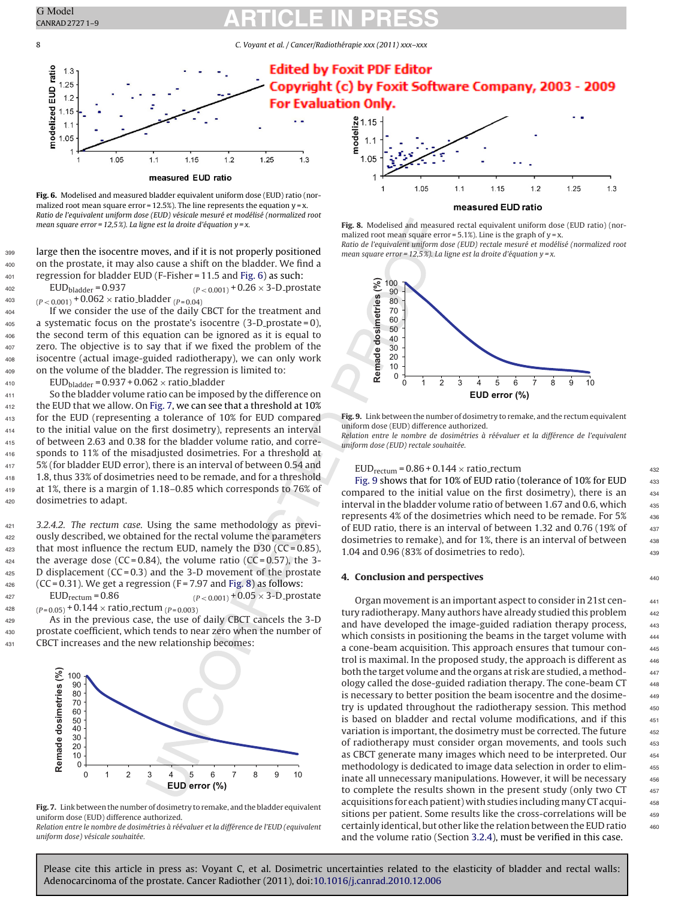CANRAD 2727 1–9

8 C. Voyant et al. / Cancer/Radiothérapie xxx (2011) xxx–xxx





399 large then the isocentre moves, and if it is not properly positioned <sup>400</sup> on the prostate, it may also cause a shift on the bladder. We find a <sup>401</sup> regression for bladder EUD (F-Fisher = 11.5 and Fig. 6) as such:

402 EUD<sub>bladder</sub> = 0.937  $(P < 0.001) + 0.26 \times 3$ -D-prostate 403  $(P < 0.001) + 0.062 \times \text{ratio\_bladder}$  ( $P = 0.04$ )<br>404 If we consider the use of the daily

If we consider the use of the daily CBCT for the treatment and a systematic focus on the prostate's isocentre (3-D prostate = 0), the second term of this equation can be ignored as it is equal to zero. The objective is to say that if we fixed the problem of the isocentre (actual image-guided radiotherapy), we can only work on the volume of the bladder. The regression is limited to:

410 EUD<sub>bladder</sub> =  $0.937 + 0.062 \times$  ratio bladder<br>411 So the bladder volume ratio can be impos So the bladder volume ratio can be imposed by the difference on 412 the EUD that we allow. On Fig. 7, we can see that a threshold at 10% for the EUD (representing a tolerance of 10% for EUD compared to the initial value on the first dosimetry), represents an interval of between 2.63 and 0.38 for the bladder volume ratio, and corre- sponds to 11% of the misadjusted dosimetries. For a threshold at 5% (for bladder EUD error), there is an interval of between 0.54 and 1.8, thus 33% of dosimetries need to be remade, and for a threshold at 1%, there is a margin of 1.18–0.85 which corresponds to 76% of dosimetries to adapt.

421 3.2.4.2. The rectum case. Using the same methodology as previ-<sup>422</sup> ously described, we obtained for the rectal volume the parameters that most influence the rectum EUD, namely the D30 ( $CC = 0.85$ ), 424 the average dose (CC = 0.84), the volume ratio (CC = 0.57), the 3-425 D displacement ( $CC = 0.3$ ) and the 3-D movement of the prostate  $426$  (CC = 0.31). We get a regression (F = 7.97 and Fig. 8) as follows:

427 **EUD**<sub>rectum</sub> = 0.86  $(P < 0.001) + 0.05 \times 3$ -D<sub>-</sub>prostate 428  $(P=0.05) + 0.144 \times \text{ratio\_rectum} (P=0.003)$ 

<sup>429</sup> As in the previous case, the use of daily CBCT cancels the 3-D <sup>430</sup> prostate coefficient, which tends to near zero when the number of 431 CBCT increases and the new relationship becomes:



**Fig. 7.** Link between the number of dosimetry to remake, and the bladder equivalent uniform dose (EUD) difference authorized.

Relation entre le nombre de dosimétries à réévaluer et la différence de l'EUD (equivalent uniform dose) vésicale souhaitée.



**Fig. 8.** Modelised and measured rectal equivalent uniform dose (EUD ratio) (normalized root mean square error =  $5.1\%$ ). Line is the graph of y = x. Ratio de l'equivalent uniform dose (EUD) rectale mesuré et modélisé (normalized root mean square error = 12,5%). La ligne est la droite d'équation  $y = x$ .



**Fig. 9.** Link between the number of dosimetry to remake, and the rectum equivalent uniform dose (EUD) difference authorized.

Relation entre le nombre de dosimétries à réévaluer et la différence de l'equivalent uniform dose (EUD) rectale souhaitée.

EUD<sub>rectum</sub> = 0.86 + 0.144  $\times$  ratio rectum  $432$ <br>Fig. 9 shows that for 10% of EUD ratio (tolerance of 10% for EUD Fig. 9 shows that for 10% of EUD ratio (tolerance of 10% for EUD compared to the initial value on the first dosimetry), there is an interval in the bladder volume ratio of between 1.67 and 0.6, which represents 4% of the dosimetries which need to be remade. For 5% 436 of EUD ratio, there is an interval of between 1.32 and 0.76 (19% of dosimetries to remake), and for 1%, there is an interval of between 1.04 and 0.96 (83% of dosimetries to redo). 439

#### **4. Conclusion and perspectives**  $\frac{440}{400}$

Organ movement is an important aspect to consider in 21st cen- <sup>441</sup> tury radiotherapy. Many authors have already studied this problem 442 and have developed the image-guided radiation therapy process, 443 which consists in positioning the beams in the target volume with  $444$ a cone-beam acquisition. This approach ensures that tumour con-<br>445 trol is maximal. In the proposed study, the approach is different as  $446$ both the target volume and the organs at risk are studied, a method-<br>447 ology called the dose-guided radiation therapy. The cone-beam CT 448 is necessary to better position the beam isocentre and the dosime-<br>449 try is updated throughout the radiotherapy session. This method  $450$ is based on bladder and rectal volume modifications, and if this  $451$ variation is important, the dosimetry must be corrected. The future  $452$ of radiotherapy must consider organ movements, and tools such  $453$ as CBCT generate many images which need to be interpreted. Our  $454$ methodology is dedicated to image data selection in order to elim-<br>455 inate all unnecessary manipulations. However, it will be necessary 456 to complete the results shown in the present study (only two CT  $_{457}$ acquisitions for each patient) with studies including many CT acqui-<br>458 sitions per patient. Some results like the cross-correlations will be  $459$ certainly identical, but other like the relation between the EUD ratio 460 and the volume ratio (Section [3.2.4\),](#page-6-0) must be verified in this case.